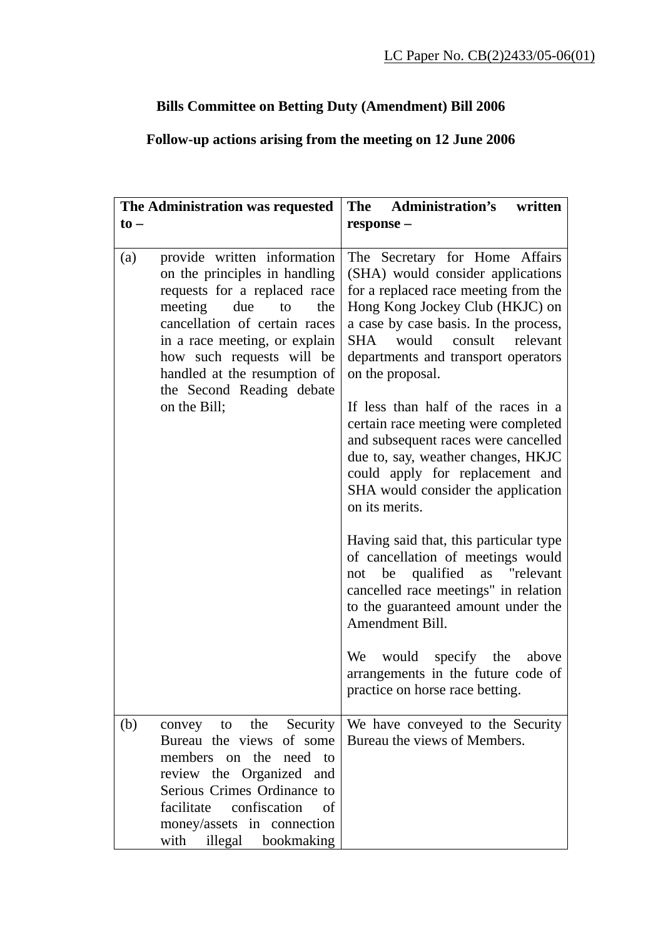## **Bills Committee on Betting Duty (Amendment) Bill 2006**

## **Follow-up actions arising from the meeting on 12 June 2006**

| The Administration was requested |                                                                                                                                                                                                                                                                                                         | The Administration's<br>written                                                                                                                                                                                                                                                                                                                                                                                                                                                                                                              |
|----------------------------------|---------------------------------------------------------------------------------------------------------------------------------------------------------------------------------------------------------------------------------------------------------------------------------------------------------|----------------------------------------------------------------------------------------------------------------------------------------------------------------------------------------------------------------------------------------------------------------------------------------------------------------------------------------------------------------------------------------------------------------------------------------------------------------------------------------------------------------------------------------------|
| $\mathbf{to}$                    |                                                                                                                                                                                                                                                                                                         | response -                                                                                                                                                                                                                                                                                                                                                                                                                                                                                                                                   |
| (a)                              | provide written information<br>on the principles in handling<br>requests for a replaced race<br>meeting<br>due<br>the<br>to<br>cancellation of certain races<br>in a race meeting, or explain<br>how such requests will be<br>handled at the resumption of<br>the Second Reading debate<br>on the Bill; | The Secretary for Home Affairs<br>(SHA) would consider applications<br>for a replaced race meeting from the<br>Hong Kong Jockey Club (HKJC) on<br>a case by case basis. In the process,<br>consult relevant<br>would<br>SHA<br>departments and transport operators<br>on the proposal.<br>If less than half of the races in a<br>certain race meeting were completed<br>and subsequent races were cancelled<br>due to, say, weather changes, HKJC<br>could apply for replacement and<br>SHA would consider the application<br>on its merits. |
|                                  |                                                                                                                                                                                                                                                                                                         | Having said that, this particular type<br>of cancellation of meetings would<br>be qualified as "relevant<br>not<br>cancelled race meetings" in relation<br>to the guaranteed amount under the<br>Amendment Bill.<br>would specify the<br>We<br>above<br>arrangements in the future code of<br>practice on horse race betting.                                                                                                                                                                                                                |
| (b)                              | convey to the Security<br>Bureau the views of some<br>members on the<br>need to<br>review the Organized and<br>Serious Crimes Ordinance to<br>confiscation<br>facilitate<br>of<br>money/assets in connection<br>with illegal bookmaking                                                                 | We have conveyed to the Security<br>Bureau the views of Members.                                                                                                                                                                                                                                                                                                                                                                                                                                                                             |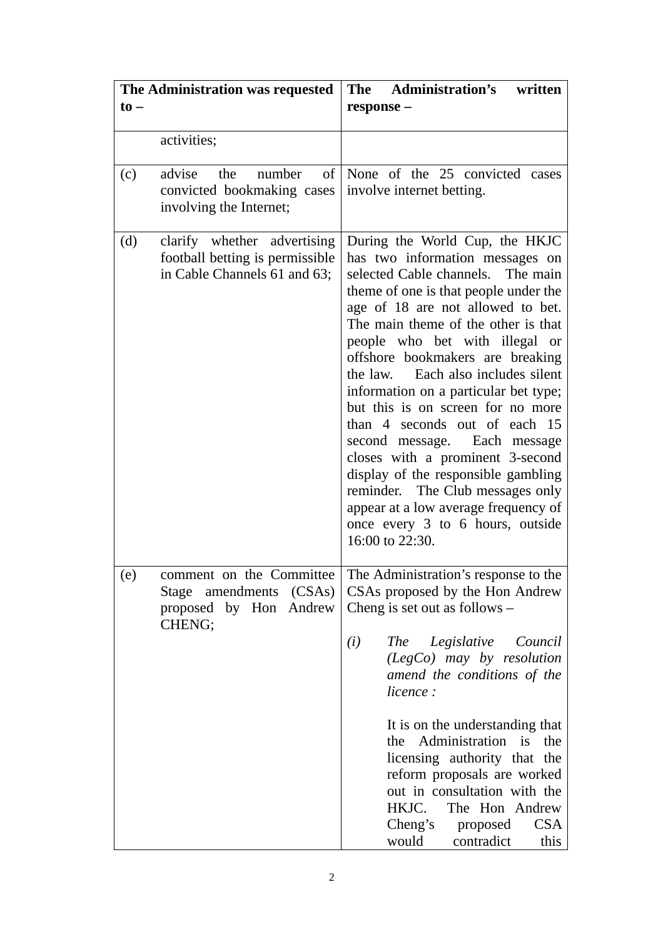| The Administration was requested<br>$\mathbf{to}$ |                                                                                                | The Administration's<br>written<br>response -                                                                                                                                                                                                                                                                                                                                                                                                                                                                                                                                                                                                                                                        |
|---------------------------------------------------|------------------------------------------------------------------------------------------------|------------------------------------------------------------------------------------------------------------------------------------------------------------------------------------------------------------------------------------------------------------------------------------------------------------------------------------------------------------------------------------------------------------------------------------------------------------------------------------------------------------------------------------------------------------------------------------------------------------------------------------------------------------------------------------------------------|
|                                                   | activities;                                                                                    |                                                                                                                                                                                                                                                                                                                                                                                                                                                                                                                                                                                                                                                                                                      |
| (c)                                               | of<br>advise<br>number<br>the<br>convicted bookmaking cases<br>involving the Internet;         | None of the 25 convicted cases<br>involve internet betting.                                                                                                                                                                                                                                                                                                                                                                                                                                                                                                                                                                                                                                          |
| (d)                                               | clarify whether advertising<br>football betting is permissible<br>in Cable Channels 61 and 63; | During the World Cup, the HKJC<br>has two information messages on<br>selected Cable channels. The main<br>theme of one is that people under the<br>age of 18 are not allowed to bet.<br>The main theme of the other is that<br>people who bet with illegal or<br>offshore bookmakers are breaking<br>the law. Each also includes silent<br>information on a particular bet type;<br>but this is on screen for no more<br>than 4 seconds out of each 15<br>second message. Each message<br>closes with a prominent 3-second<br>display of the responsible gambling<br>reminder. The Club messages only<br>appear at a low average frequency of<br>once every 3 to 6 hours, outside<br>16:00 to 22:30. |
| (e)                                               | comment on the Committee<br>Stage amendments (CSAs)<br>proposed by Hon Andrew<br>CHENG;        | The Administration's response to the<br>CSAs proposed by the Hon Andrew<br>Cheng is set out as follows -<br>Legislative<br>(i)<br>Council<br><i>The</i><br>$(LegCo)$ may by resolution<br>amend the conditions of the<br>licence:<br>It is on the understanding that<br>Administration is<br>the<br>the<br>licensing authority that the<br>reform proposals are worked<br>out in consultation with the<br>HKJC.<br>The Hon Andrew<br>Cheng's<br><b>CSA</b><br>proposed<br>would<br>contradict<br>this                                                                                                                                                                                                |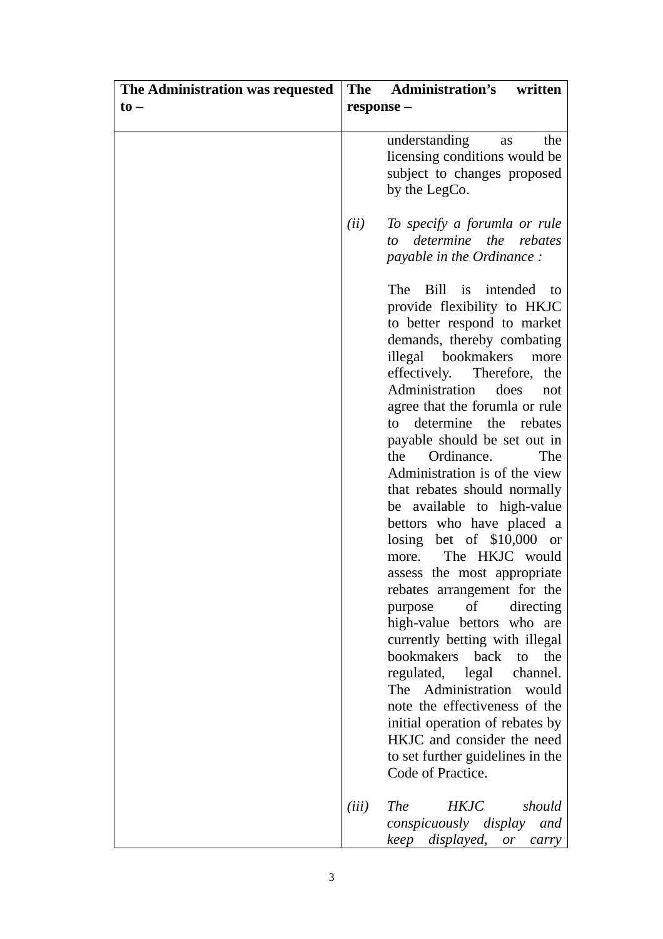| The Administration was requested | <b>The</b> | <b>Administration's</b><br>written                                                                                                                                                                                                                                                                                                                                                                                                                                                                                                                                                                                                                                                                                                                                                                                                                                                                                                                           |
|----------------------------------|------------|--------------------------------------------------------------------------------------------------------------------------------------------------------------------------------------------------------------------------------------------------------------------------------------------------------------------------------------------------------------------------------------------------------------------------------------------------------------------------------------------------------------------------------------------------------------------------------------------------------------------------------------------------------------------------------------------------------------------------------------------------------------------------------------------------------------------------------------------------------------------------------------------------------------------------------------------------------------|
| $\mathbf{t}$ o –                 | response - |                                                                                                                                                                                                                                                                                                                                                                                                                                                                                                                                                                                                                                                                                                                                                                                                                                                                                                                                                              |
|                                  |            |                                                                                                                                                                                                                                                                                                                                                                                                                                                                                                                                                                                                                                                                                                                                                                                                                                                                                                                                                              |
|                                  |            | understanding<br>the<br>as<br>licensing conditions would be<br>subject to changes proposed<br>by the LegCo.                                                                                                                                                                                                                                                                                                                                                                                                                                                                                                                                                                                                                                                                                                                                                                                                                                                  |
|                                  | (ii)       | To specify a forumla or rule<br>determine the rebates<br>to<br><i>payable in the Ordinance:</i>                                                                                                                                                                                                                                                                                                                                                                                                                                                                                                                                                                                                                                                                                                                                                                                                                                                              |
|                                  |            | Bill<br>is intended to<br>The<br>provide flexibility to HKJC<br>to better respond to market<br>demands, thereby combating<br>illegal bookmakers<br>more<br>effectively.<br>Therefore,<br>the<br>Administration<br>does<br>not<br>agree that the forumla or rule<br>determine the rebates<br>to<br>payable should be set out in<br>Ordinance.<br>the<br>The<br>Administration is of the view<br>that rebates should normally<br>be available to high-value<br>bettors who have placed a<br>losing bet of $$10,000$ or<br>The HKJC would<br>more.<br>assess the most appropriate<br>rebates arrangement for the<br>$\sigma$<br>purpose<br>directing<br>high-value bettors who are<br>currently betting with illegal<br>bookmakers<br>back<br>the<br>to<br>regulated, legal<br>channel.<br>Administration<br>The<br>would<br>note the effectiveness of the<br>initial operation of rebates by<br>HKJC and consider the need<br>to set further guidelines in the |
|                                  |            | Code of Practice.                                                                                                                                                                                                                                                                                                                                                                                                                                                                                                                                                                                                                                                                                                                                                                                                                                                                                                                                            |
|                                  | (iii)      | <b>The</b><br><b>HKJC</b><br>should<br><i>conspicuously display</i><br>and<br>keep displayed,<br>or<br>carry                                                                                                                                                                                                                                                                                                                                                                                                                                                                                                                                                                                                                                                                                                                                                                                                                                                 |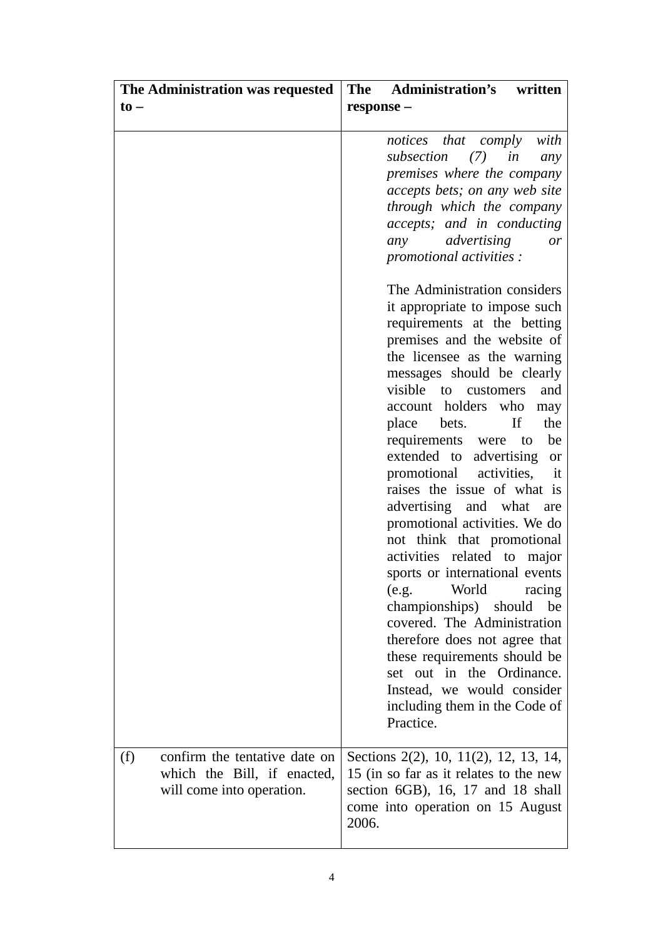| The Administration was requested     | The Administration's<br>written                               |
|--------------------------------------|---------------------------------------------------------------|
| $\mathbf{to}$                        | response -                                                    |
|                                      |                                                               |
|                                      | notices that comply<br>with                                   |
|                                      | subsection<br>(7)<br>in<br>any                                |
|                                      | premises where the company                                    |
|                                      | accepts bets; on any web site                                 |
|                                      | through which the company                                     |
|                                      | accepts; and in conducting                                    |
|                                      | advertising<br>any<br><i>or</i>                               |
|                                      | promotional activities :                                      |
|                                      | The Administration considers                                  |
|                                      | it appropriate to impose such                                 |
|                                      | requirements at the betting                                   |
|                                      | premises and the website of                                   |
|                                      | the licensee as the warning                                   |
|                                      | messages should be clearly                                    |
|                                      | visible to customers<br>and                                   |
|                                      | account holders who<br>may                                    |
|                                      | If<br>the<br>place<br>bets.                                   |
|                                      | requirements were<br>be<br>to                                 |
|                                      | extended to advertising<br><b>or</b>                          |
|                                      | activities,<br>promotional<br>it                              |
|                                      | raises the issue of what is                                   |
|                                      | advertising and what<br>are                                   |
|                                      | promotional activities. We do                                 |
|                                      | not think that promotional                                    |
|                                      | activities related to major<br>sports or international events |
|                                      | World<br>racing<br>(e.g.                                      |
|                                      | championships) should<br>be                                   |
|                                      | covered. The Administration                                   |
|                                      | therefore does not agree that                                 |
|                                      | these requirements should be                                  |
|                                      | set out in the Ordinance.                                     |
|                                      | Instead, we would consider                                    |
|                                      | including them in the Code of                                 |
|                                      | Practice.                                                     |
|                                      |                                                               |
| confirm the tentative date on<br>(f) | Sections 2(2), 10, 11(2), 12, 13, 14,                         |
| which the Bill, if enacted,          | 15 (in so far as it relates to the new                        |
| will come into operation.            | section 6GB), 16, 17 and 18 shall                             |
|                                      | come into operation on 15 August                              |
|                                      | 2006.                                                         |